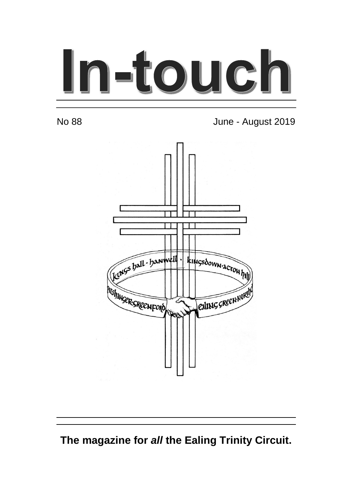# In-touch

No 88 June - August 2019



**The magazine for all the Ealing Trinity Circuit.**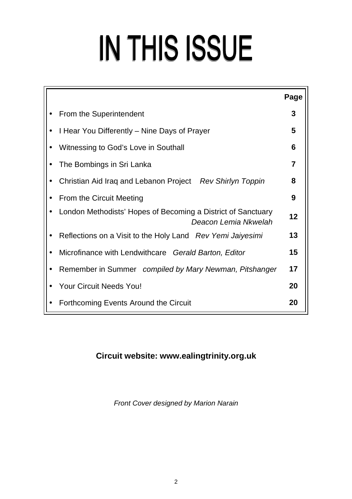# IN THIS ISSUE

|                                                                                      | Page |  |  |
|--------------------------------------------------------------------------------------|------|--|--|
| From the Superintendent                                                              |      |  |  |
| I Hear You Differently – Nine Days of Prayer                                         |      |  |  |
| Witnessing to God's Love in Southall                                                 |      |  |  |
| 7<br>The Bombings in Sri Lanka                                                       |      |  |  |
| Christian Aid Iraq and Lebanon Project Rev Shirlyn Toppin                            | 8    |  |  |
| From the Circuit Meeting                                                             |      |  |  |
| London Methodists' Hopes of Becoming a District of Sanctuary<br>Deacon Lemia Nkwelah | 12   |  |  |
| Reflections on a Visit to the Holy Land Rev Yemi Jaiyesimi                           | 13   |  |  |
| Microfinance with Lendwithcare Gerald Barton, Editor                                 | 15   |  |  |
| Remember in Summer compiled by Mary Newman, Pitshanger                               | 17   |  |  |
| <b>Your Circuit Needs You!</b>                                                       | 20   |  |  |
| Forthcoming Events Around the Circuit                                                | 20   |  |  |

# **Circuit website: www.ealingtrinity.org.uk**

Front Cover designed by Marion Narain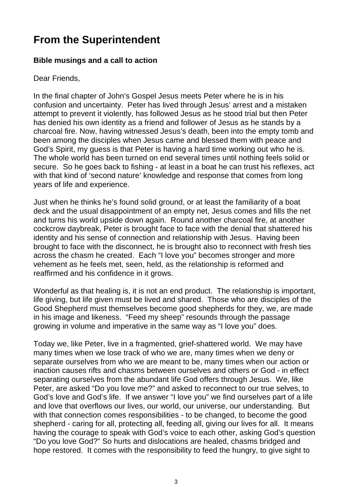# **From the Superintendent**

#### **Bible musings and a call to action**

Dear Friends,

In the final chapter of John's Gospel Jesus meets Peter where he is in his confusion and uncertainty. Peter has lived through Jesus' arrest and a mistaken attempt to prevent it violently, has followed Jesus as he stood trial but then Peter has denied his own identity as a friend and follower of Jesus as he stands by a charcoal fire. Now, having witnessed Jesus's death, been into the empty tomb and been among the disciples when Jesus came and blessed them with peace and God's Spirit, my guess is that Peter is having a hard time working out who he is. The whole world has been turned on end several times until nothing feels solid or secure. So he goes back to fishing - at least in a boat he can trust his reflexes, act with that kind of 'second nature' knowledge and response that comes from long years of life and experience.

Just when he thinks he's found solid ground, or at least the familiarity of a boat deck and the usual disappointment of an empty net, Jesus comes and fills the net and turns his world upside down again. Round another charcoal fire, at another cockcrow daybreak, Peter is brought face to face with the denial that shattered his identity and his sense of connection and relationship with Jesus. Having been brought to face with the disconnect, he is brought also to reconnect with fresh ties across the chasm he created. Each "I love you" becomes stronger and more vehement as he feels met, seen, held, as the relationship is reformed and reaffirmed and his confidence in it grows.

Wonderful as that healing is, it is not an end product. The relationship is important, life giving, but life given must be lived and shared. Those who are disciples of the Good Shepherd must themselves become good shepherds for they, we, are made in his image and likeness. "Feed my sheep" resounds through the passage growing in volume and imperative in the same way as "I love you" does.

Today we, like Peter, live in a fragmented, grief-shattered world. We may have many times when we lose track of who we are, many times when we deny or separate ourselves from who we are meant to be, many times when our action or inaction causes rifts and chasms between ourselves and others or God - in effect separating ourselves from the abundant life God offers through Jesus. We, like Peter, are asked "Do you love me?" and asked to reconnect to our true selves, to God's love and God's life. If we answer "I love you" we find ourselves part of a life and love that overflows our lives, our world, our universe, our understanding. But with that connection comes responsibilities - to be changed, to become the good shepherd - caring for all, protecting all, feeding all, giving our lives for all. It means having the courage to speak with God's voice to each other, asking God's question "Do you love God?" So hurts and dislocations are healed, chasms bridged and hope restored. It comes with the responsibility to feed the hungry, to give sight to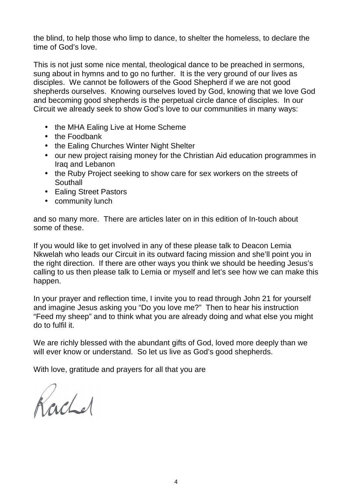the blind, to help those who limp to dance, to shelter the homeless, to declare the time of God's love.

This is not just some nice mental, theological dance to be preached in sermons, sung about in hymns and to go no further. It is the very ground of our lives as disciples. We cannot be followers of the Good Shepherd if we are not good shepherds ourselves. Knowing ourselves loved by God, knowing that we love God and becoming good shepherds is the perpetual circle dance of disciples. In our Circuit we already seek to show God's love to our communities in many ways:

- the MHA Ealing Live at Home Scheme
- the Foodbank
- the Ealing Churches Winter Night Shelter
- our new project raising money for the Christian Aid education programmes in Iraq and Lebanon
- the Ruby Project seeking to show care for sex workers on the streets of **Southall**
- Ealing Street Pastors
- community lunch

and so many more. There are articles later on in this edition of In-touch about some of these.

If you would like to get involved in any of these please talk to Deacon Lemia Nkwelah who leads our Circuit in its outward facing mission and she'll point you in the right direction. If there are other ways you think we should be heeding Jesus's calling to us then please talk to Lemia or myself and let's see how we can make this happen.

In your prayer and reflection time, I invite you to read through John 21 for yourself and imagine Jesus asking you "Do you love me?" Then to hear his instruction "Feed my sheep" and to think what you are already doing and what else you might do to fulfil it.

We are richly blessed with the abundant gifts of God, loved more deeply than we will ever know or understand. So let us live as God's good shepherds.

With love, gratitude and prayers for all that you are

Rachel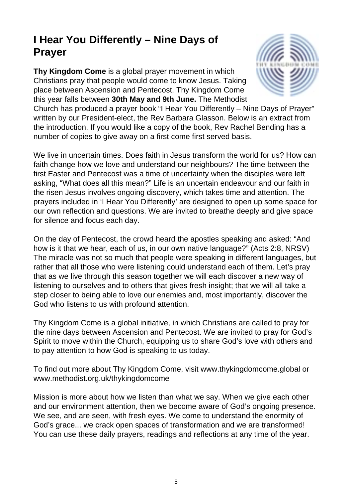# **I Hear You Differently – Nine Days of Prayer**

**Thy Kingdom Come** is a global prayer movement in which Christians pray that people would come to know Jesus. Taking place between Ascension and Pentecost, Thy Kingdom Come this year falls between **30th May and 9th June.** The Methodist



Church has produced a prayer book "I Hear You Differently – Nine Days of Prayer" written by our President-elect, the Rev Barbara Glasson. Below is an extract from the introduction. If you would like a copy of the book, Rev Rachel Bending has a number of copies to give away on a first come first served basis.

We live in uncertain times. Does faith in Jesus transform the world for us? How can faith change how we love and understand our neighbours? The time between the first Easter and Pentecost was a time of uncertainty when the disciples were left asking, "What does all this mean?" Life is an uncertain endeavour and our faith in the risen Jesus involves ongoing discovery, which takes time and attention. The prayers included in 'I Hear You Differently' are designed to open up some space for our own reflection and questions. We are invited to breathe deeply and give space for silence and focus each day.

On the day of Pentecost, the crowd heard the apostles speaking and asked: "And how is it that we hear, each of us, in our own native language?" (Acts 2:8, NRSV) The miracle was not so much that people were speaking in different languages, but rather that all those who were listening could understand each of them. Let's pray that as we live through this season together we will each discover a new way of listening to ourselves and to others that gives fresh insight; that we will all take a step closer to being able to love our enemies and, most importantly, discover the God who listens to us with profound attention.

Thy Kingdom Come is a global initiative, in which Christians are called to pray for the nine days between Ascension and Pentecost. We are invited to pray for God's Spirit to move within the Church, equipping us to share God's love with others and to pay attention to how God is speaking to us today.

To find out more about Thy Kingdom Come, visit www.thykingdomcome.global or www.methodist.org.uk/thykingdomcome

Mission is more about how we listen than what we say. When we give each other and our environment attention, then we become aware of God's ongoing presence. We see, and are seen, with fresh eyes. We come to understand the enormity of God's grace... we crack open spaces of transformation and we are transformed! You can use these daily prayers, readings and reflections at any time of the year.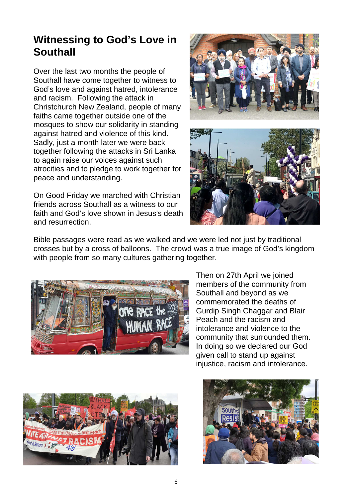# **Witnessing to God's Love in Southall**

Over the last two months the people of Southall have come together to witness to God's love and against hatred, intolerance and racism. Following the attack in Christchurch New Zealand, people of many faiths came together outside one of the mosques to show our solidarity in standing against hatred and violence of this kind. Sadly, just a month later we were back together following the attacks in Sri Lanka to again raise our voices against such atrocities and to pledge to work together for peace and understanding.

On Good Friday we marched with Christian friends across Southall as a witness to our faith and God's love shown in Jesus's death and resurrection.



Bible passages were read as we walked and we were led not just by traditional crosses but by a cross of balloons. The crowd was a true image of God's kingdom with people from so many cultures gathering together.



Then on 27th April we joined members of the community from Southall and beyond as we commemorated the deaths of Gurdip Singh Chaggar and Blair Peach and the racism and intolerance and violence to the community that surrounded them. In doing so we declared our God given call to stand up against injustice, racism and intolerance.



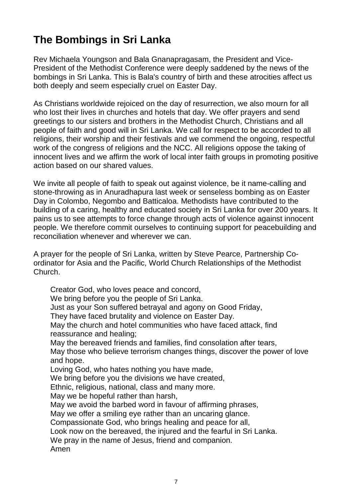# **The Bombings in Sri Lanka**

Rev Michaela Youngson and Bala Gnanapragasam, the President and Vice-President of the Methodist Conference were deeply saddened by the news of the bombings in Sri Lanka. This is Bala's country of birth and these atrocities affect us both deeply and seem especially cruel on Easter Day.

As Christians worldwide rejoiced on the day of resurrection, we also mourn for all who lost their lives in churches and hotels that day. We offer prayers and send greetings to our sisters and brothers in the Methodist Church, Christians and all people of faith and good will in Sri Lanka. We call for respect to be accorded to all religions, their worship and their festivals and we commend the ongoing, respectful work of the congress of religions and the NCC. All religions oppose the taking of innocent lives and we affirm the work of local inter faith groups in promoting positive action based on our shared values.

We invite all people of faith to speak out against violence, be it name-calling and stone-throwing as in Anuradhapura last week or senseless bombing as on Easter Day in Colombo, Negombo and Batticaloa. Methodists have contributed to the building of a caring, healthy and educated society in Sri Lanka for over 200 years. It pains us to see attempts to force change through acts of violence against innocent people. We therefore commit ourselves to continuing support for peacebuilding and reconciliation whenever and wherever we can.

A prayer for the people of Sri Lanka, written by Steve Pearce, Partnership Coordinator for Asia and the Pacific, World Church Relationships of the Methodist Church.

Creator God, who loves peace and concord, We bring before you the people of Sri Lanka. Just as your Son suffered betrayal and agony on Good Friday, They have faced brutality and violence on Easter Day. May the church and hotel communities who have faced attack, find reassurance and healing; May the bereaved friends and families, find consolation after tears, May those who believe terrorism changes things, discover the power of love and hope. Loving God, who hates nothing you have made, We bring before you the divisions we have created, Ethnic, religious, national, class and many more. May we be hopeful rather than harsh, May we avoid the barbed word in favour of affirming phrases, May we offer a smiling eye rather than an uncaring glance. Compassionate God, who brings healing and peace for all, Look now on the bereaved, the injured and the fearful in Sri Lanka. We pray in the name of Jesus, friend and companion. Amen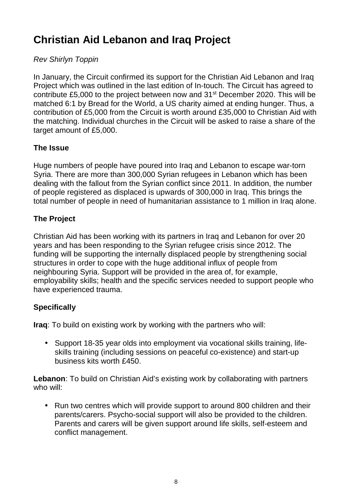# **Christian Aid Lebanon and Iraq Project**

# Rev Shirlyn Toppin

In January, the Circuit confirmed its support for the Christian Aid Lebanon and Iraq Project which was outlined in the last edition of In-touch. The Circuit has agreed to contribute £5,000 to the project between now and 31<sup>st</sup> December 2020. This will be matched 6:1 by Bread for the World, a US charity aimed at ending hunger. Thus, a contribution of £5,000 from the Circuit is worth around £35,000 to Christian Aid with the matching. Individual churches in the Circuit will be asked to raise a share of the target amount of £5,000.

# **The Issue**

Huge numbers of people have poured into Iraq and Lebanon to escape war-torn Syria. There are more than 300,000 Syrian refugees in Lebanon which has been dealing with the fallout from the Syrian conflict since 2011. In addition, the number of people registered as displaced is upwards of 300,000 in Iraq. This brings the total number of people in need of humanitarian assistance to 1 million in Iraq alone.

### **The Project**

Christian Aid has been working with its partners in Iraq and Lebanon for over 20 years and has been responding to the Syrian refugee crisis since 2012. The funding will be supporting the internally displaced people by strengthening social structures in order to cope with the huge additional influx of people from neighbouring Syria. Support will be provided in the area of, for example, employability skills; health and the specific services needed to support people who have experienced trauma.

# **Specifically**

**Iraq**: To build on existing work by working with the partners who will:

• Support 18-35 year olds into employment via vocational skills training, lifeskills training (including sessions on peaceful co-existence) and start-up business kits worth £450.

**Lebanon**: To build on Christian Aid's existing work by collaborating with partners who will:

• Run two centres which will provide support to around 800 children and their parents/carers. Psycho-social support will also be provided to the children. Parents and carers will be given support around life skills, self-esteem and conflict management.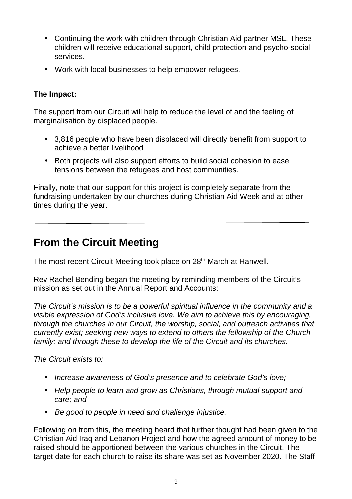- Continuing the work with children through Christian Aid partner MSL. These children will receive educational support, child protection and psycho-social services.
- Work with local businesses to help empower refugees.

#### **The Impact:**

The support from our Circuit will help to reduce the level of and the feeling of marginalisation by displaced people.

- 3,816 people who have been displaced will directly benefit from support to achieve a better livelihood
- Both projects will also support efforts to build social cohesion to ease tensions between the refugees and host communities.

Finally, note that our support for this project is completely separate from the fundraising undertaken by our churches during Christian Aid Week and at other times during the year.

# **From the Circuit Meeting**

The most recent Circuit Meeting took place on 28<sup>th</sup> March at Hanwell.

Rev Rachel Bending began the meeting by reminding members of the Circuit's mission as set out in the Annual Report and Accounts:

The Circuit's mission is to be a powerful spiritual influence in the community and a visible expression of God's inclusive love. We aim to achieve this by encouraging, through the churches in our Circuit, the worship, social, and outreach activities that currently exist; seeking new ways to extend to others the fellowship of the Church family; and through these to develop the life of the Circuit and its churches.

The Circuit exists to:

- Increase awareness of God's presence and to celebrate God's love:
- Help people to learn and grow as Christians, through mutual support and care; and
- Be good to people in need and challenge injustice.

Following on from this, the meeting heard that further thought had been given to the Christian Aid Iraq and Lebanon Project and how the agreed amount of money to be raised should be apportioned between the various churches in the Circuit. The target date for each church to raise its share was set as November 2020. The Staff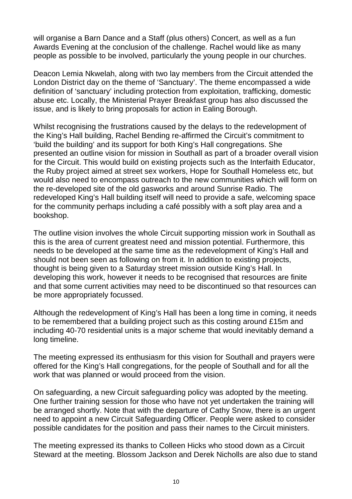will organise a Barn Dance and a Staff (plus others) Concert, as well as a fun Awards Evening at the conclusion of the challenge. Rachel would like as many people as possible to be involved, particularly the young people in our churches.

Deacon Lemia Nkwelah, along with two lay members from the Circuit attended the London District day on the theme of 'Sanctuary'. The theme encompassed a wide definition of 'sanctuary' including protection from exploitation, trafficking, domestic abuse etc. Locally, the Ministerial Prayer Breakfast group has also discussed the issue, and is likely to bring proposals for action in Ealing Borough.

Whilst recognising the frustrations caused by the delays to the redevelopment of the King's Hall building, Rachel Bending re-affirmed the Circuit's commitment to 'build the building' and its support for both King's Hall congregations. She presented an outline vision for mission in Southall as part of a broader overall vision for the Circuit. This would build on existing projects such as the Interfaith Educator, the Ruby project aimed at street sex workers, Hope for Southall Homeless etc, but would also need to encompass outreach to the new communities which will form on the re-developed site of the old gasworks and around Sunrise Radio. The redeveloped King's Hall building itself will need to provide a safe, welcoming space for the community perhaps including a café possibly with a soft play area and a bookshop.

The outline vision involves the whole Circuit supporting mission work in Southall as this is the area of current greatest need and mission potential. Furthermore, this needs to be developed at the same time as the redevelopment of King's Hall and should not been seen as following on from it. In addition to existing projects, thought is being given to a Saturday street mission outside King's Hall. In developing this work, however it needs to be recognised that resources are finite and that some current activities may need to be discontinued so that resources can be more appropriately focussed.

Although the redevelopment of King's Hall has been a long time in coming, it needs to be remembered that a building project such as this costing around £15m and including 40-70 residential units is a major scheme that would inevitably demand a long timeline.

The meeting expressed its enthusiasm for this vision for Southall and prayers were offered for the King's Hall congregations, for the people of Southall and for all the work that was planned or would proceed from the vision.

On safeguarding, a new Circuit safeguarding policy was adopted by the meeting. One further training session for those who have not yet undertaken the training will be arranged shortly. Note that with the departure of Cathy Snow, there is an urgent need to appoint a new Circuit Safeguarding Officer. People were asked to consider possible candidates for the position and pass their names to the Circuit ministers.

The meeting expressed its thanks to Colleen Hicks who stood down as a Circuit Steward at the meeting. Blossom Jackson and Derek Nicholls are also due to stand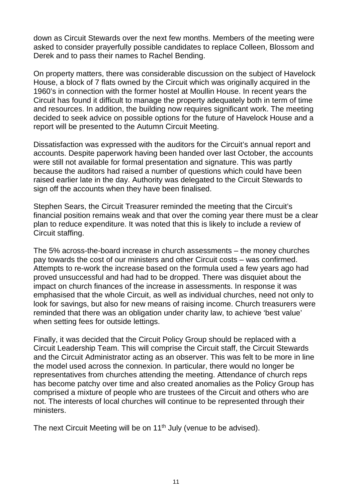down as Circuit Stewards over the next few months. Members of the meeting were asked to consider prayerfully possible candidates to replace Colleen, Blossom and Derek and to pass their names to Rachel Bending.

On property matters, there was considerable discussion on the subject of Havelock House, a block of 7 flats owned by the Circuit which was originally acquired in the 1960's in connection with the former hostel at Moullin House. In recent years the Circuit has found it difficult to manage the property adequately both in term of time and resources. In addition, the building now requires significant work. The meeting decided to seek advice on possible options for the future of Havelock House and a report will be presented to the Autumn Circuit Meeting.

Dissatisfaction was expressed with the auditors for the Circuit's annual report and accounts. Despite paperwork having been handed over last October, the accounts were still not available for formal presentation and signature. This was partly because the auditors had raised a number of questions which could have been raised earlier late in the day. Authority was delegated to the Circuit Stewards to sign off the accounts when they have been finalised.

Stephen Sears, the Circuit Treasurer reminded the meeting that the Circuit's financial position remains weak and that over the coming year there must be a clear plan to reduce expenditure. It was noted that this is likely to include a review of Circuit staffing.

The 5% across-the-board increase in church assessments – the money churches pay towards the cost of our ministers and other Circuit costs – was confirmed. Attempts to re-work the increase based on the formula used a few years ago had proved unsuccessful and had had to be dropped. There was disquiet about the impact on church finances of the increase in assessments. In response it was emphasised that the whole Circuit, as well as individual churches, need not only to look for savings, but also for new means of raising income. Church treasurers were reminded that there was an obligation under charity law, to achieve 'best value' when setting fees for outside lettings.

Finally, it was decided that the Circuit Policy Group should be replaced with a Circuit Leadership Team. This will comprise the Circuit staff, the Circuit Stewards and the Circuit Administrator acting as an observer. This was felt to be more in line the model used across the connexion. In particular, there would no longer be representatives from churches attending the meeting. Attendance of church reps has become patchy over time and also created anomalies as the Policy Group has comprised a mixture of people who are trustees of the Circuit and others who are not. The interests of local churches will continue to be represented through their ministers.

The next Circuit Meeting will be on 11<sup>th</sup> July (venue to be advised).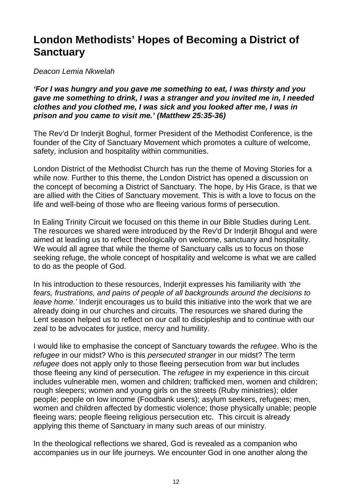# **London Methodists' Hopes of Becoming a District of Sanctuary**

Deacon Lemia Nkwelah

**'For I was hungry and you gave me something to eat, I was thirsty and you gave me something to drink, I was a stranger and you invited me in, I needed clothes and you clothed me, I was sick and you looked after me, I was in prison and you came to visit me.' (Matthew 25:35-36)** 

The Rev'd Dr Inderjit Boghul, former President of the Methodist Conference, is the founder of the City of Sanctuary Movement which promotes a culture of welcome, safety, inclusion and hospitality within communities.

London District of the Methodist Church has run the theme of Moving Stories for a while now. Further to this theme, the London District has opened a discussion on the concept of becoming a District of Sanctuary. The hope, by His Grace, is that we are allied with the Cities of Sanctuary movement. This is with a love to focus on the life and well-being of those who are fleeing various forms of persecution.

In Ealing Trinity Circuit we focused on this theme in our Bible Studies during Lent. The resources we shared were introduced by the Rev'd Dr Inderjit Bhogul and were aimed at leading us to reflect theologically on welcome, sanctuary and hospitality. We would all agree that while the theme of Sanctuary calls us to focus on those seeking refuge, the whole concept of hospitality and welcome is what we are called to do as the people of God.

In his introduction to these resources, Inderijt expresses his familiarity with 'the fears, frustrations, and pains of people of all backgrounds around the decisions to leave home.' Inderiit encourages us to build this initiative into the work that we are already doing in our churches and circuits. The resources we shared during the Lent season helped us to reflect on our call to discipleship and to continue with our zeal to be advocates for justice, mercy and humility.

I would like to emphasise the concept of Sanctuary towards the refugee. Who is the refugee in our midst? Who is this persecuted stranger in our midst? The term refugee does not apply only to those fleeing persecution from war but includes those fleeing any kind of persecution. The refugee in my experience in this circuit includes vulnerable men, women and children; trafficked men, women and children; rough sleepers; women and young girls on the streets (Ruby ministries); older people; people on low income (Foodbank users); asylum seekers, refugees; men, women and children affected by domestic violence; those physically unable; people fleeing wars; people fleeing religious persecution etc. This circuit is already applying this theme of Sanctuary in many such areas of our ministry.

In the theological reflections we shared, God is revealed as a companion who accompanies us in our life journeys. We encounter God in one another along the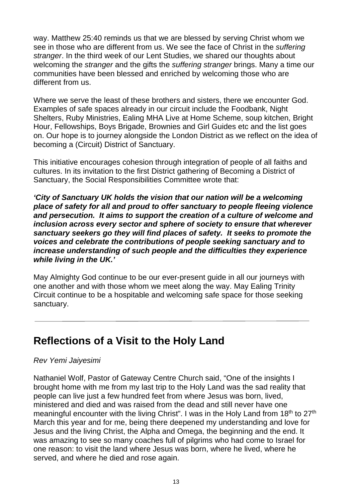way. Matthew 25:40 reminds us that we are blessed by serving Christ whom we see in those who are different from us. We see the face of Christ in the *suffering* stranger. In the third week of our Lent Studies, we shared our thoughts about welcoming the *stranger* and the gifts the *suffering stranger* brings. Many a time our communities have been blessed and enriched by welcoming those who are different from us.

Where we serve the least of these brothers and sisters, there we encounter God. Examples of safe spaces already in our circuit include the Foodbank, Night Shelters, Ruby Ministries, Ealing MHA Live at Home Scheme, soup kitchen, Bright Hour, Fellowships, Boys Brigade, Brownies and Girl Guides etc and the list goes on. Our hope is to journey alongside the London District as we reflect on the idea of becoming a (Circuit) District of Sanctuary.

This initiative encourages cohesion through integration of people of all faiths and cultures. In its invitation to the first District gathering of Becoming a District of Sanctuary, the Social Responsibilities Committee wrote that:

**'City of Sanctuary UK holds the vision that our nation will be a welcoming place of safety for all and proud to offer sanctuary to people fleeing violence and persecution. It aims to support the creation of a culture of welcome and inclusion across every sector and sphere of society to ensure that wherever sanctuary seekers go they will find places of safety. It seeks to promote the voices and celebrate the contributions of people seeking sanctuary and to increase understanding of such people and the difficulties they experience while living in the UK.'** 

May Almighty God continue to be our ever-present guide in all our journeys with one another and with those whom we meet along the way. May Ealing Trinity Circuit continue to be a hospitable and welcoming safe space for those seeking sanctuary.

# **Reflections of a Visit to the Holy Land**

#### Rev Yemi Jaiyesimi

Nathaniel Wolf, Pastor of Gateway Centre Church said, "One of the insights I brought home with me from my last trip to the Holy Land was the sad reality that people can live just a few hundred feet from where Jesus was born, lived, ministered and died and was raised from the dead and still never have one meaningful encounter with the living Christ". I was in the Holy Land from  $18<sup>th</sup>$  to  $27<sup>th</sup>$ March this year and for me, being there deepened my understanding and love for Jesus and the living Christ, the Alpha and Omega, the beginning and the end. It was amazing to see so many coaches full of pilgrims who had come to Israel for one reason: to visit the land where Jesus was born, where he lived, where he served, and where he died and rose again.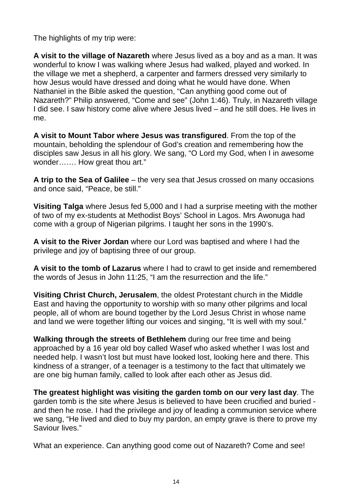The highlights of my trip were:

**A visit to the village of Nazareth** where Jesus lived as a boy and as a man. It was wonderful to know I was walking where Jesus had walked, played and worked. In the village we met a shepherd, a carpenter and farmers dressed very similarly to how Jesus would have dressed and doing what he would have done. When Nathaniel in the Bible asked the question, "Can anything good come out of Nazareth?" Philip answered, "Come and see" (John 1:46). Truly, in Nazareth village I did see. I saw history come alive where Jesus lived – and he still does. He lives in me.

**A visit to Mount Tabor where Jesus was transfigured**. From the top of the mountain, beholding the splendour of God's creation and remembering how the disciples saw Jesus in all his glory. We sang, "O Lord my God, when I in awesome wonder……. How great thou art."

**A trip to the Sea of Galilee** – the very sea that Jesus crossed on many occasions and once said, "Peace, be still."

**Visiting Talga** where Jesus fed 5,000 and I had a surprise meeting with the mother of two of my ex-students at Methodist Boys' School in Lagos. Mrs Awonuga had come with a group of Nigerian pilgrims. I taught her sons in the 1990's.

**A visit to the River Jordan** where our Lord was baptised and where I had the privilege and joy of baptising three of our group.

**A visit to the tomb of Lazarus** where I had to crawl to get inside and remembered the words of Jesus in John 11:25, "I am the resurrection and the life."

**Visiting Christ Church, Jerusalem**, the oldest Protestant church in the Middle East and having the opportunity to worship with so many other pilgrims and local people, all of whom are bound together by the Lord Jesus Christ in whose name and land we were together lifting our voices and singing, "It is well with my soul."

**Walking through the streets of Bethlehem** during our free time and being approached by a 16 year old boy called Wasef who asked whether I was lost and needed help. I wasn't lost but must have looked lost, looking here and there. This kindness of a stranger, of a teenager is a testimony to the fact that ultimately we are one big human family, called to look after each other as Jesus did.

**The greatest highlight was visiting the garden tomb on our very last day**. The garden tomb is the site where Jesus is believed to have been crucified and buried and then he rose. I had the privilege and joy of leading a communion service where we sang, "He lived and died to buy my pardon, an empty grave is there to prove my Saviour lives."

What an experience. Can anything good come out of Nazareth? Come and see!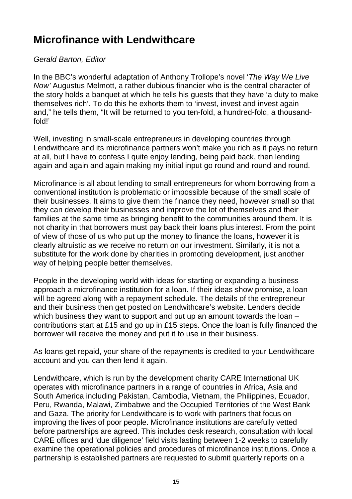# **Microfinance with Lendwithcare**

#### Gerald Barton, Editor

In the BBC's wonderful adaptation of Anthony Trollope's novel 'The Way We Live Now' Augustus Melmott, a rather dubious financier who is the central character of the story holds a banquet at which he tells his guests that they have 'a duty to make themselves rich'. To do this he exhorts them to 'invest, invest and invest again and," he tells them, "It will be returned to you ten-fold, a hundred-fold, a thousandfold!'

Well, investing in small-scale entrepreneurs in developing countries through Lendwithcare and its microfinance partners won't make you rich as it pays no return at all, but I have to confess I quite enjoy lending, being paid back, then lending again and again and again making my initial input go round and round and round.

Microfinance is all about lending to small entrepreneurs for whom borrowing from a conventional institution is problematic or impossible because of the small scale of their businesses. It aims to give them the finance they need, however small so that they can develop their businesses and improve the lot of themselves and their families at the same time as bringing benefit to the communities around them. It is not charity in that borrowers must pay back their loans plus interest. From the point of view of those of us who put up the money to finance the loans, however it is clearly altruistic as we receive no return on our investment. Similarly, it is not a substitute for the work done by charities in promoting development, just another way of helping people better themselves.

People in the developing world with ideas for starting or expanding a business approach a microfinance institution for a loan. If their ideas show promise, a loan will be agreed along with a repayment schedule. The details of the entrepreneur and their business then get posted on Lendwithcare's website. Lenders decide which business they want to support and put up an amount towards the loan contributions start at £15 and go up in £15 steps. Once the loan is fully financed the borrower will receive the money and put it to use in their business.

As loans get repaid, your share of the repayments is credited to your Lendwithcare account and you can then lend it again.

Lendwithcare, which is run by the development charity CARE International UK operates with microfinance partners in a range of countries in Africa, Asia and South America including Pakistan, Cambodia, Vietnam, the Philippines, Ecuador, Peru, Rwanda, Malawi, Zimbabwe and the Occupied Territories of the West Bank and Gaza. The priority for Lendwithcare is to work with partners that focus on improving the lives of poor people. Microfinance institutions are carefully vetted before partnerships are agreed. This includes desk research, consultation with local CARE offices and 'due diligence' field visits lasting between 1-2 weeks to carefully examine the operational policies and procedures of microfinance institutions. Once a partnership is established partners are requested to submit quarterly reports on a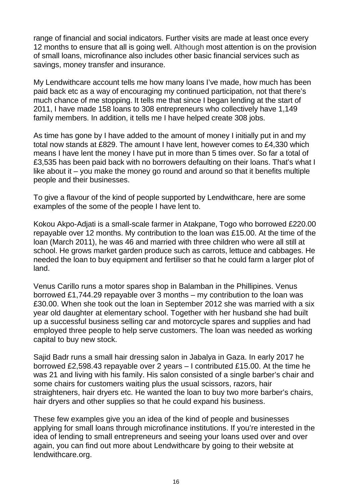range of financial and social indicators. Further visits are made at least once every 12 months to ensure that all is going well. Although most attention is on the provision of small loans, microfinance also includes other basic financial services such as savings, money transfer and insurance.

My Lendwithcare account tells me how many loans I've made, how much has been paid back etc as a way of encouraging my continued participation, not that there's much chance of me stopping. It tells me that since I began lending at the start of 2011, I have made 158 loans to 308 entrepreneurs who collectively have 1,149 family members. In addition, it tells me I have helped create 308 jobs.

As time has gone by I have added to the amount of money I initially put in and my total now stands at £829. The amount I have lent, however comes to £4,330 which means I have lent the money I have put in more than 5 times over. So far a total of £3,535 has been paid back with no borrowers defaulting on their loans. That's what I like about it – you make the money go round and around so that it benefits multiple people and their businesses.

To give a flavour of the kind of people supported by Lendwithcare, here are some examples of the some of the people I have lent to.

Kokou Akpo-Adjati is a small-scale farmer in Atakpane, Togo who borrowed £220.00 repayable over 12 months. My contribution to the loan was £15.00. At the time of the loan (March 2011), he was 46 and married with three children who were all still at school. He grows market garden produce such as carrots, lettuce and cabbages. He needed the loan to buy equipment and fertiliser so that he could farm a larger plot of land.

Venus Carillo runs a motor spares shop in Balamban in the Phillipines. Venus borrowed £1,744.29 repayable over 3 months – my contribution to the loan was £30.00. When she took out the loan in September 2012 she was married with a six year old daughter at elementary school. Together with her husband she had built up a successful business selling car and motorcycle spares and supplies and had employed three people to help serve customers. The loan was needed as working capital to buy new stock.

Sajid Badr runs a small hair dressing salon in Jabalya in Gaza. In early 2017 he borrowed £2,598.43 repayable over 2 years – I contributed £15.00. At the time he was 21 and living with his family. His salon consisted of a single barber's chair and some chairs for customers waiting plus the usual scissors, razors, hair straighteners, hair dryers etc. He wanted the loan to buy two more barber's chairs, hair dryers and other supplies so that he could expand his business.

These few examples give you an idea of the kind of people and businesses applying for small loans through microfinance institutions. If you're interested in the idea of lending to small entrepreneurs and seeing your loans used over and over again, you can find out more about Lendwithcare by going to their website at lendwithcare.org.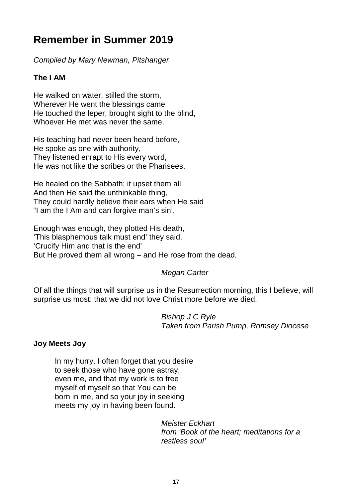# **Remember in Summer 2019**

Compiled by Mary Newman, Pitshanger

# **The I AM**

He walked on water, stilled the storm, Wherever He went the blessings came He touched the leper, brought sight to the blind, Whoever He met was never the same.

His teaching had never been heard before, He spoke as one with authority, They listened enrapt to His every word, He was not like the scribes or the Pharisees.

He healed on the Sabbath; it upset them all And then He said the unthinkable thing, They could hardly believe their ears when He said "I am the I Am and can forgive man's sin'.

Enough was enough, they plotted His death, 'This blasphemous talk must end' they said. 'Crucify Him and that is the end' But He proved them all wrong – and He rose from the dead.

# Megan Carter

Of all the things that will surprise us in the Resurrection morning, this I believe, will surprise us most: that we did not love Christ more before we died.

> Bishop J C Ryle Taken from Parish Pump, Romsey Diocese

#### **Joy Meets Joy**

In my hurry, I often forget that you desire to seek those who have gone astray, even me, and that my work is to free myself of myself so that You can be born in me, and so your joy in seeking meets my joy in having been found.

> Meister Eckhart from 'Book of the heart; meditations for a restless soul'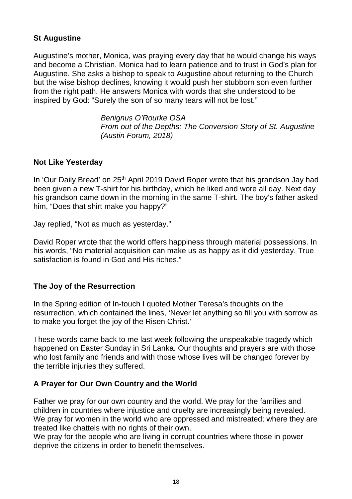## **St Augustine**

Augustine's mother, Monica, was praying every day that he would change his ways and become a Christian. Monica had to learn patience and to trust in God's plan for Augustine. She asks a bishop to speak to Augustine about returning to the Church but the wise bishop declines, knowing it would push her stubborn son even further from the right path. He answers Monica with words that she understood to be inspired by God: "Surely the son of so many tears will not be lost."

> Benignus O'Rourke OSA From out of the Depths: The Conversion Story of St. Augustine (Austin Forum, 2018)

#### **Not Like Yesterday**

In 'Our Daily Bread' on 25<sup>th</sup> April 2019 David Roper wrote that his grandson Jay had been given a new T-shirt for his birthday, which he liked and wore all day. Next day his grandson came down in the morning in the same T-shirt. The boy's father asked him, "Does that shirt make you happy?"

Jay replied, "Not as much as yesterday."

David Roper wrote that the world offers happiness through material possessions. In his words, "No material acquisition can make us as happy as it did yesterday. True satisfaction is found in God and His riches."

#### **The Joy of the Resurrection**

In the Spring edition of In-touch I quoted Mother Teresa's thoughts on the resurrection, which contained the lines, 'Never let anything so fill you with sorrow as to make you forget the joy of the Risen Christ.'

These words came back to me last week following the unspeakable tragedy which happened on Easter Sunday in Sri Lanka. Our thoughts and prayers are with those who lost family and friends and with those whose lives will be changed forever by the terrible injuries they suffered.

#### **A Prayer for Our Own Country and the World**

Father we pray for our own country and the world. We pray for the families and children in countries where injustice and cruelty are increasingly being revealed. We pray for women in the world who are oppressed and mistreated; where they are treated like chattels with no rights of their own.

We pray for the people who are living in corrupt countries where those in power deprive the citizens in order to benefit themselves.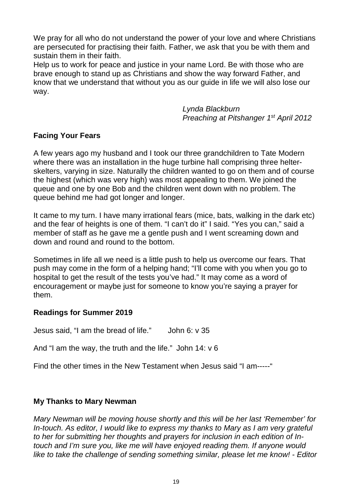We pray for all who do not understand the power of your love and where Christians are persecuted for practising their faith. Father, we ask that you be with them and sustain them in their faith.

Help us to work for peace and justice in your name Lord. Be with those who are brave enough to stand up as Christians and show the way forward Father, and know that we understand that without you as our guide in life we will also lose our way.

> Lynda Blackburn Preaching at Pitshanger 1<sup>st</sup> April 2012

### **Facing Your Fears**

A few years ago my husband and I took our three grandchildren to Tate Modern where there was an installation in the huge turbine hall comprising three helterskelters, varying in size. Naturally the children wanted to go on them and of course the highest (which was very high) was most appealing to them. We joined the queue and one by one Bob and the children went down with no problem. The queue behind me had got longer and longer.

It came to my turn. I have many irrational fears (mice, bats, walking in the dark etc) and the fear of heights is one of them. "I can't do it" I said. "Yes you can," said a member of staff as he gave me a gentle push and I went screaming down and down and round and round to the bottom.

Sometimes in life all we need is a little push to help us overcome our fears. That push may come in the form of a helping hand; "I'll come with you when you go to hospital to get the result of the tests you've had." It may come as a word of encouragement or maybe just for someone to know you're saying a prayer for them.

#### **Readings for Summer 2019**

Jesus said, "I am the bread of life." John 6: v 35

And "I am the way, the truth and the life." John 14: v 6

Find the other times in the New Testament when Jesus said "I am-----"

#### **My Thanks to Mary Newman**

Mary Newman will be moving house shortly and this will be her last 'Remember' for In-touch. As editor, I would like to express my thanks to Mary as I am very grateful to her for submitting her thoughts and prayers for inclusion in each edition of Intouch and I'm sure you, like me will have enjoyed reading them. If anyone would like to take the challenge of sending something similar, please let me know! - Editor